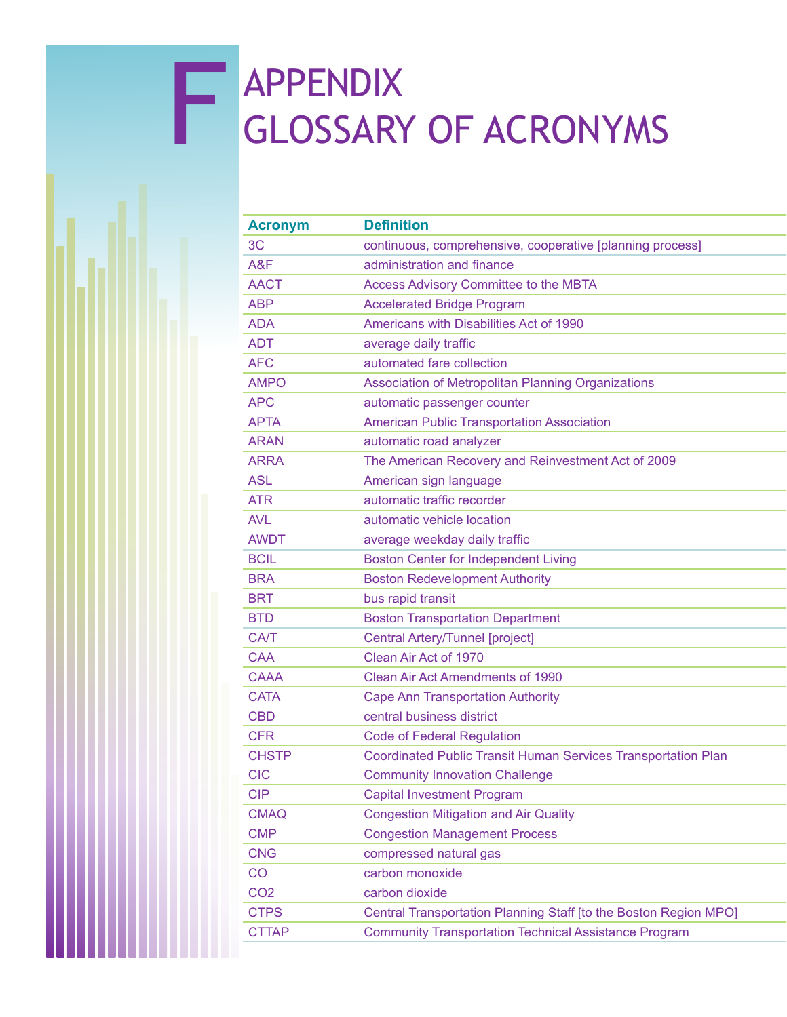## F APPENDIX<br>GLOSSARY GLOSSARY OF ACRONYMS

| <b>Acronym</b>  | <b>Definition</b>                                                    |
|-----------------|----------------------------------------------------------------------|
| 3 <sub>C</sub>  | continuous, comprehensive, cooperative [planning process]            |
| A&F             | administration and finance                                           |
| <b>AACT</b>     | <b>Access Advisory Committee to the MBTA</b>                         |
| <b>ABP</b>      | <b>Accelerated Bridge Program</b>                                    |
| <b>ADA</b>      | Americans with Disabilities Act of 1990                              |
| <b>ADT</b>      | average daily traffic                                                |
| <b>AFC</b>      | automated fare collection                                            |
| <b>AMPO</b>     | Association of Metropolitan Planning Organizations                   |
| <b>APC</b>      | automatic passenger counter                                          |
| <b>APTA</b>     | <b>American Public Transportation Association</b>                    |
| <b>ARAN</b>     | automatic road analyzer                                              |
| <b>ARRA</b>     | The American Recovery and Reinvestment Act of 2009                   |
| <b>ASL</b>      | American sign language                                               |
| <b>ATR</b>      | automatic traffic recorder                                           |
| <b>AVL</b>      | automatic vehicle location                                           |
| <b>AWDT</b>     | average weekday daily traffic                                        |
| <b>BCIL</b>     | <b>Boston Center for Independent Living</b>                          |
| <b>BRA</b>      | <b>Boston Redevelopment Authority</b>                                |
| <b>BRT</b>      | bus rapid transit                                                    |
| <b>BTD</b>      | <b>Boston Transportation Department</b>                              |
| <b>CA/T</b>     | Central Artery/Tunnel [project]                                      |
| <b>CAA</b>      | Clean Air Act of 1970                                                |
| <b>CAAA</b>     | Clean Air Act Amendments of 1990                                     |
| <b>CATA</b>     | <b>Cape Ann Transportation Authority</b>                             |
| <b>CBD</b>      | central business district                                            |
| <b>CFR</b>      | <b>Code of Federal Regulation</b>                                    |
| <b>CHSTP</b>    | <b>Coordinated Public Transit Human Services Transportation Plan</b> |
| <b>CIC</b>      | <b>Community Innovation Challenge</b>                                |
| <b>CIP</b>      | <b>Capital Investment Program</b>                                    |
| <b>CMAQ</b>     | <b>Congestion Mitigation and Air Quality</b>                         |
| <b>CMP</b>      | <b>Congestion Management Process</b>                                 |
| <b>CNG</b>      | compressed natural gas                                               |
| CO              | carbon monoxide                                                      |
| CO <sub>2</sub> | carbon dioxide                                                       |
| <b>CTPS</b>     | Central Transportation Planning Staff [to the Boston Region MPO]     |
| <b>CTTAP</b>    | <b>Community Transportation Technical Assistance Program</b>         |
|                 |                                                                      |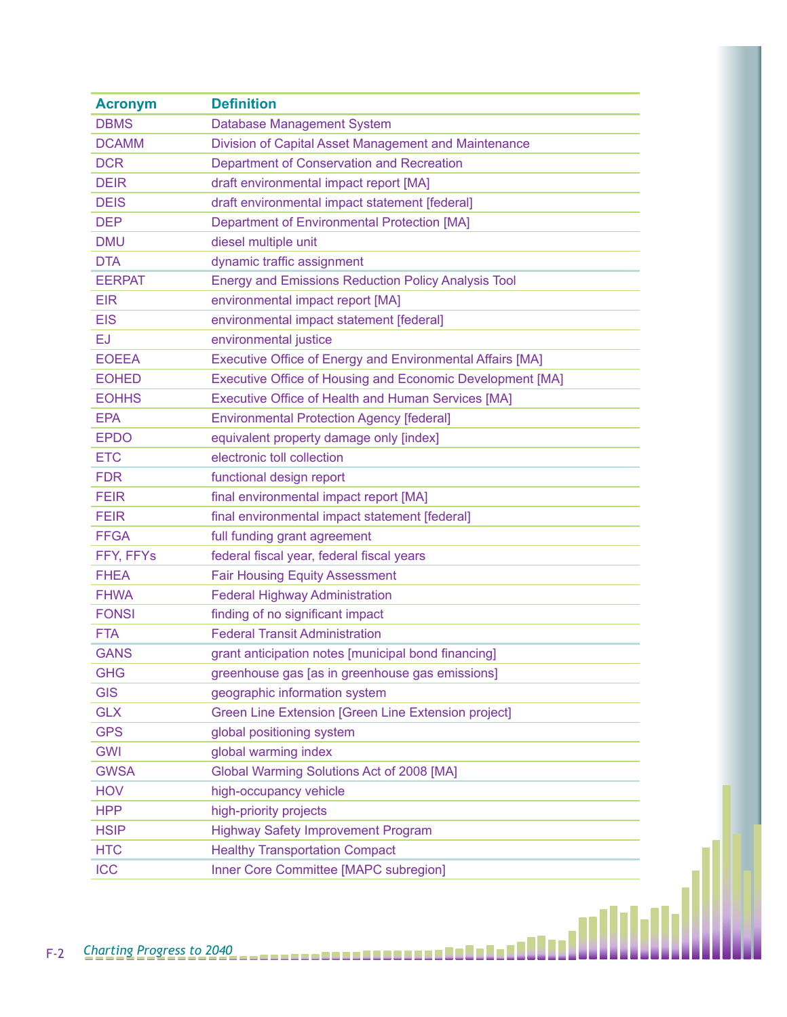| <b>Acronym</b> | <b>Definition</b>                                                |
|----------------|------------------------------------------------------------------|
| <b>DBMS</b>    | Database Management System                                       |
| <b>DCAMM</b>   | Division of Capital Asset Management and Maintenance             |
| <b>DCR</b>     | Department of Conservation and Recreation                        |
| <b>DEIR</b>    | draft environmental impact report [MA]                           |
| <b>DEIS</b>    | draft environmental impact statement [federal]                   |
| <b>DEP</b>     | <b>Department of Environmental Protection [MA]</b>               |
| <b>DMU</b>     | diesel multiple unit                                             |
| <b>DTA</b>     | dynamic traffic assignment                                       |
| <b>EERPAT</b>  | <b>Energy and Emissions Reduction Policy Analysis Tool</b>       |
| <b>EIR</b>     | environmental impact report [MA]                                 |
| <b>EIS</b>     | environmental impact statement [federal]                         |
| EJ             | environmental justice                                            |
| <b>EOEEA</b>   | <b>Executive Office of Energy and Environmental Affairs [MA]</b> |
| <b>EOHED</b>   | Executive Office of Housing and Economic Development [MA]        |
| <b>EOHHS</b>   | Executive Office of Health and Human Services [MA]               |
| <b>EPA</b>     | <b>Environmental Protection Agency [federal]</b>                 |
| <b>EPDO</b>    | equivalent property damage only [index]                          |
| <b>ETC</b>     | electronic toll collection                                       |
| <b>FDR</b>     | functional design report                                         |
| <b>FEIR</b>    | final environmental impact report [MA]                           |
| <b>FEIR</b>    | final environmental impact statement [federal]                   |
| <b>FFGA</b>    | full funding grant agreement                                     |
| FFY, FFYs      | federal fiscal year, federal fiscal years                        |
| <b>FHEA</b>    | <b>Fair Housing Equity Assessment</b>                            |
| <b>FHWA</b>    | <b>Federal Highway Administration</b>                            |
| <b>FONSI</b>   | finding of no significant impact                                 |
| <b>FTA</b>     | <b>Federal Transit Administration</b>                            |
| <b>GANS</b>    | grant anticipation notes [municipal bond financing]              |
| <b>GHG</b>     | greenhouse gas [as in greenhouse gas emissions]                  |
| <b>GIS</b>     | geographic information system                                    |
| <b>GLX</b>     | Green Line Extension [Green Line Extension project]              |
| <b>GPS</b>     | global positioning system                                        |
| <b>GWI</b>     | global warming index                                             |
| <b>GWSA</b>    | Global Warming Solutions Act of 2008 [MA]                        |
| <b>HOV</b>     | high-occupancy vehicle                                           |
| <b>HPP</b>     | high-priority projects                                           |
| <b>HSIP</b>    | <b>Highway Safety Improvement Program</b>                        |
| <b>HTC</b>     | <b>Healthy Transportation Compact</b>                            |
| <b>ICC</b>     | Inner Core Committee [MAPC subregion]                            |
|                |                                                                  |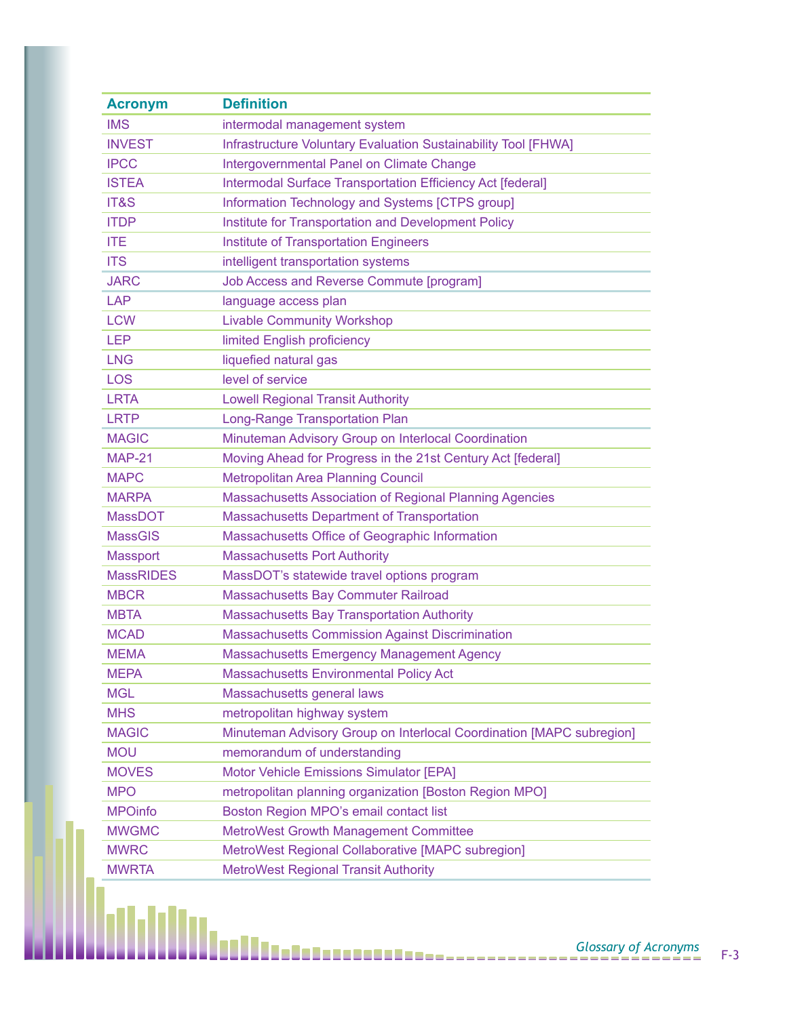| <b>Acronym</b>   | <b>Definition</b>                                                    |
|------------------|----------------------------------------------------------------------|
| <b>IMS</b>       | intermodal management system                                         |
| <b>INVEST</b>    | Infrastructure Voluntary Evaluation Sustainability Tool [FHWA]       |
| <b>IPCC</b>      | Intergovernmental Panel on Climate Change                            |
| <b>ISTEA</b>     | Intermodal Surface Transportation Efficiency Act [federal]           |
| IT&S             | Information Technology and Systems [CTPS group]                      |
| <b>ITDP</b>      | Institute for Transportation and Development Policy                  |
| <b>ITE</b>       | <b>Institute of Transportation Engineers</b>                         |
| <b>ITS</b>       | intelligent transportation systems                                   |
| <b>JARC</b>      | Job Access and Reverse Commute [program]                             |
| <b>LAP</b>       | language access plan                                                 |
| <b>LCW</b>       | <b>Livable Community Workshop</b>                                    |
| <b>LEP</b>       | limited English proficiency                                          |
| <b>LNG</b>       | liquefied natural gas                                                |
| <b>LOS</b>       | level of service                                                     |
| <b>LRTA</b>      | <b>Lowell Regional Transit Authority</b>                             |
| <b>LRTP</b>      | Long-Range Transportation Plan                                       |
| <b>MAGIC</b>     | Minuteman Advisory Group on Interlocal Coordination                  |
| <b>MAP-21</b>    | Moving Ahead for Progress in the 21st Century Act [federal]          |
| <b>MAPC</b>      | <b>Metropolitan Area Planning Council</b>                            |
| <b>MARPA</b>     | <b>Massachusetts Association of Regional Planning Agencies</b>       |
| <b>MassDOT</b>   | <b>Massachusetts Department of Transportation</b>                    |
| <b>MassGIS</b>   | Massachusetts Office of Geographic Information                       |
| <b>Massport</b>  | <b>Massachusetts Port Authority</b>                                  |
| <b>MassRIDES</b> | MassDOT's statewide travel options program                           |
| <b>MBCR</b>      | Massachusetts Bay Commuter Railroad                                  |
| <b>MBTA</b>      | <b>Massachusetts Bay Transportation Authority</b>                    |
| <b>MCAD</b>      | <b>Massachusetts Commission Against Discrimination</b>               |
| <b>MEMA</b>      | <b>Massachusetts Emergency Management Agency</b>                     |
| <b>MEPA</b>      | <b>Massachusetts Environmental Policy Act</b>                        |
| <b>MGL</b>       | Massachusetts general laws                                           |
| <b>MHS</b>       | metropolitan highway system                                          |
| <b>MAGIC</b>     | Minuteman Advisory Group on Interlocal Coordination [MAPC subregion] |
| <b>MOU</b>       | memorandum of understanding                                          |
| <b>MOVES</b>     | Motor Vehicle Emissions Simulator [EPA]                              |
| <b>MPO</b>       | metropolitan planning organization [Boston Region MPO]               |
| <b>MPOinfo</b>   | Boston Region MPO's email contact list                               |
| <b>MWGMC</b>     | <b>MetroWest Growth Management Committee</b>                         |
| <b>MWRC</b>      | MetroWest Regional Collaborative [MAPC subregion]                    |
| <b>MWRTA</b>     | <b>MetroWest Regional Transit Authority</b>                          |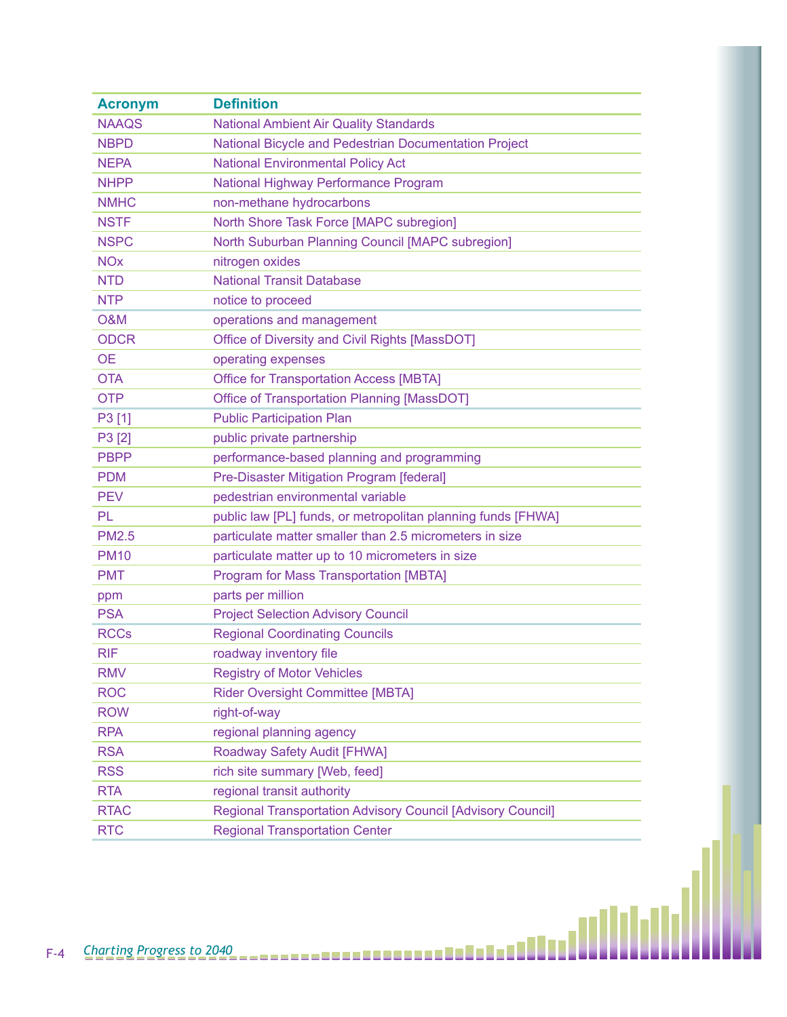| <b>Acronym</b> | <b>Definition</b>                                            |  |
|----------------|--------------------------------------------------------------|--|
| <b>NAAQS</b>   | <b>National Ambient Air Quality Standards</b>                |  |
| <b>NBPD</b>    | National Bicycle and Pedestrian Documentation Project        |  |
| <b>NEPA</b>    | <b>National Environmental Policy Act</b>                     |  |
| <b>NHPP</b>    | National Highway Performance Program                         |  |
| <b>NMHC</b>    | non-methane hydrocarbons                                     |  |
| <b>NSTF</b>    | North Shore Task Force [MAPC subregion]                      |  |
| <b>NSPC</b>    | North Suburban Planning Council [MAPC subregion]             |  |
| <b>NOx</b>     | nitrogen oxides                                              |  |
| <b>NTD</b>     | <b>National Transit Database</b>                             |  |
| <b>NTP</b>     | notice to proceed                                            |  |
| <b>O&amp;M</b> | operations and management                                    |  |
| <b>ODCR</b>    | Office of Diversity and Civil Rights [MassDOT]               |  |
| <b>OE</b>      | operating expenses                                           |  |
| <b>OTA</b>     | <b>Office for Transportation Access [MBTA]</b>               |  |
| <b>OTP</b>     | Office of Transportation Planning [MassDOT]                  |  |
| P3 [1]         | <b>Public Participation Plan</b>                             |  |
| P3 [2]         | public private partnership                                   |  |
| <b>PBPP</b>    | performance-based planning and programming                   |  |
| <b>PDM</b>     | Pre-Disaster Mitigation Program [federal]                    |  |
| <b>PEV</b>     | pedestrian environmental variable                            |  |
| PL             | public law [PL] funds, or metropolitan planning funds [FHWA] |  |
| <b>PM2.5</b>   | particulate matter smaller than 2.5 micrometers in size      |  |
| <b>PM10</b>    | particulate matter up to 10 micrometers in size              |  |
| <b>PMT</b>     | Program for Mass Transportation [MBTA]                       |  |
| ppm            | parts per million                                            |  |
| <b>PSA</b>     | <b>Project Selection Advisory Council</b>                    |  |
| <b>RCCs</b>    | <b>Regional Coordinating Councils</b>                        |  |
| <b>RIF</b>     | roadway inventory file                                       |  |
| <b>RMV</b>     | <b>Registry of Motor Vehicles</b>                            |  |
| <b>ROC</b>     | Rider Oversight Committee [MBTA]                             |  |
| <b>ROW</b>     | right-of-way                                                 |  |
| <b>RPA</b>     | regional planning agency                                     |  |
| <b>RSA</b>     | Roadway Safety Audit [FHWA]                                  |  |
| <b>RSS</b>     | rich site summary [Web, feed]                                |  |
| <b>RTA</b>     | regional transit authority                                   |  |
| <b>RTAC</b>    | Regional Transportation Advisory Council [Advisory Council]  |  |
| <b>RTC</b>     | <b>Regional Transportation Center</b>                        |  |
|                |                                                              |  |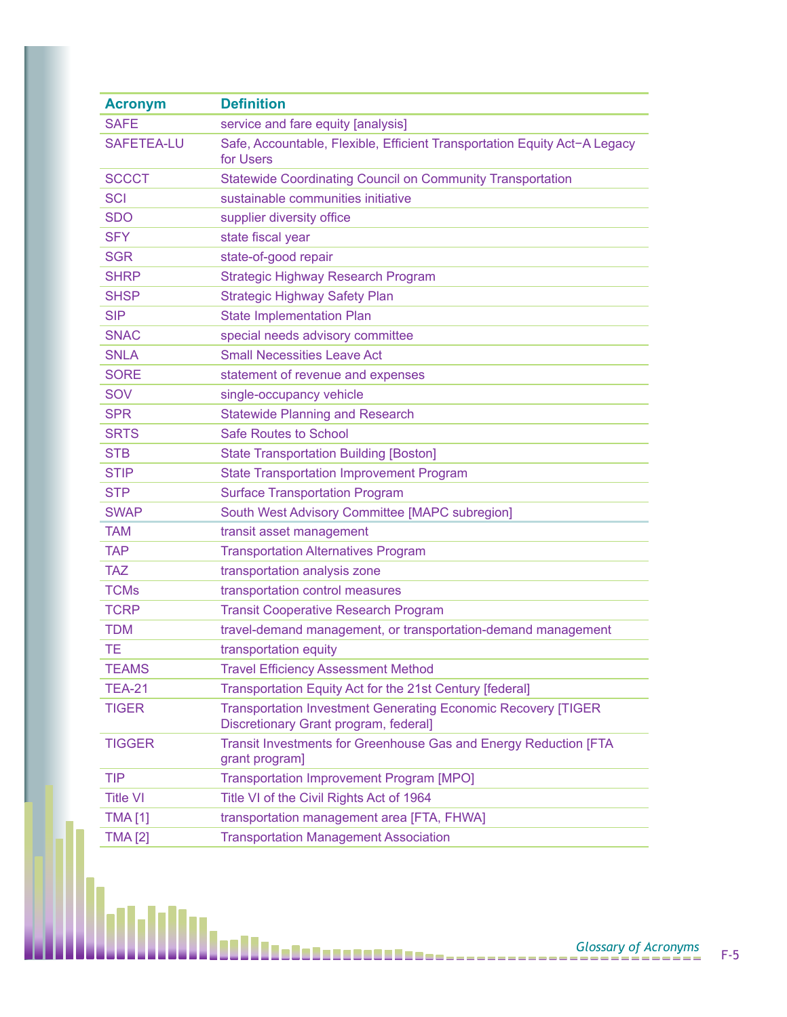| <b>Acronym</b>    | <b>Definition</b>                                                                                             |
|-------------------|---------------------------------------------------------------------------------------------------------------|
| <b>SAFE</b>       | service and fare equity [analysis]                                                                            |
| <b>SAFETEA-LU</b> | Safe, Accountable, Flexible, Efficient Transportation Equity Act-A Legacy<br>for Users                        |
| <b>SCCCT</b>      | <b>Statewide Coordinating Council on Community Transportation</b>                                             |
| <b>SCI</b>        | sustainable communities initiative                                                                            |
| <b>SDO</b>        | supplier diversity office                                                                                     |
| <b>SFY</b>        | state fiscal year                                                                                             |
| <b>SGR</b>        | state-of-good repair                                                                                          |
| <b>SHRP</b>       | <b>Strategic Highway Research Program</b>                                                                     |
| <b>SHSP</b>       | <b>Strategic Highway Safety Plan</b>                                                                          |
| <b>SIP</b>        | <b>State Implementation Plan</b>                                                                              |
| <b>SNAC</b>       | special needs advisory committee                                                                              |
| <b>SNLA</b>       | <b>Small Necessities Leave Act</b>                                                                            |
| <b>SORE</b>       | statement of revenue and expenses                                                                             |
| SOV               | single-occupancy vehicle                                                                                      |
| <b>SPR</b>        | <b>Statewide Planning and Research</b>                                                                        |
| <b>SRTS</b>       | <b>Safe Routes to School</b>                                                                                  |
| <b>STB</b>        | <b>State Transportation Building [Boston]</b>                                                                 |
| <b>STIP</b>       | <b>State Transportation Improvement Program</b>                                                               |
| <b>STP</b>        | <b>Surface Transportation Program</b>                                                                         |
| <b>SWAP</b>       | South West Advisory Committee [MAPC subregion]                                                                |
| <b>TAM</b>        | transit asset management                                                                                      |
| <b>TAP</b>        | <b>Transportation Alternatives Program</b>                                                                    |
| <b>TAZ</b>        | transportation analysis zone                                                                                  |
| <b>TCMs</b>       | transportation control measures                                                                               |
| <b>TCRP</b>       | <b>Transit Cooperative Research Program</b>                                                                   |
| <b>TDM</b>        | travel-demand management, or transportation-demand management                                                 |
| <b>TE</b>         | transportation equity                                                                                         |
| <b>TEAMS</b>      | <b>Travel Efficiency Assessment Method</b>                                                                    |
| <b>TEA-21</b>     | Transportation Equity Act for the 21st Century [federal]                                                      |
| <b>TIGER</b>      | <b>Transportation Investment Generating Economic Recovery [TIGER</b><br>Discretionary Grant program, federal] |
| <b>TIGGER</b>     | Transit Investments for Greenhouse Gas and Energy Reduction [FTA<br>grant program]                            |
| <b>TIP</b>        | <b>Transportation Improvement Program [MPO]</b>                                                               |
| <b>Title VI</b>   | Title VI of the Civil Rights Act of 1964                                                                      |
| <b>TMA</b> [1]    | transportation management area [FTA, FHWA]                                                                    |
| <b>TMA [2]</b>    | <b>Transportation Management Association</b>                                                                  |